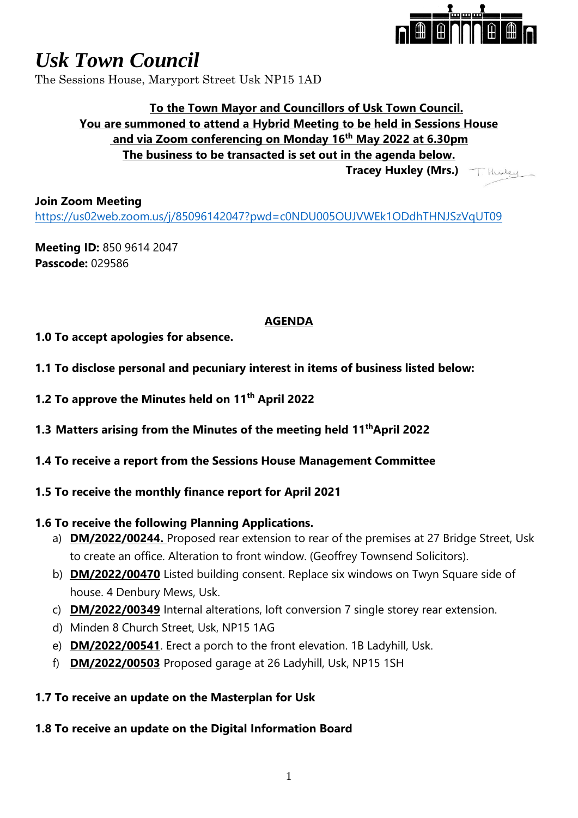

# *Usk Town Council*

The Sessions House, Maryport Street Usk NP15 1AD

### **To the Town Mayor and Councillors of Usk Town Council. You are summoned to attend a Hybrid Meeting to be held in Sessions House and via Zoom conferencing on Monday 16 th May 2022 at 6.30pm The business to be transacted is set out in the agenda below. Tracey Huxley (Mrs.)**

**Join Zoom Meeting** <https://us02web.zoom.us/j/85096142047?pwd=c0NDU005OUJVWEk1ODdhTHNJSzVqUT09>

**Meeting ID:** 850 9614 2047 **Passcode:** 029586

## **AGENDA**

- **1.0 To accept apologies for absence.**
- **1.1 To disclose personal and pecuniary interest in items of business listed below:**
- **1.2 To approve the Minutes held on 11th April 2022**
- **1.3 Matters arising from the Minutes of the meeting held 11 thApril 2022**
- **1.4 To receive a report from the Sessions House Management Committee**
- **1.5 To receive the monthly finance report for April 2021**

### **1.6 To receive the following Planning Applications.**

- a) **DM/2022/00244.** Proposed rear extension to rear of the premises at 27 Bridge Street, Usk to create an office. Alteration to front window. (Geoffrey Townsend Solicitors).
- b) **DM/2022/00470** Listed building consent. Replace six windows on Twyn Square side of house. 4 Denbury Mews, Usk.
- c) **DM/2022/00349** Internal alterations, loft conversion 7 single storey rear extension.
- d) Minden 8 Church Street, Usk, NP15 1AG
- e) **DM/2022/00541**. Erect a porch to the front elevation. 1B Ladyhill, Usk.
- f) **DM/2022/00503** Proposed garage at 26 Ladyhill, Usk, NP15 1SH

### **1.7 To receive an update on the Masterplan for Usk**

### **1.8 To receive an update on the Digital Information Board**